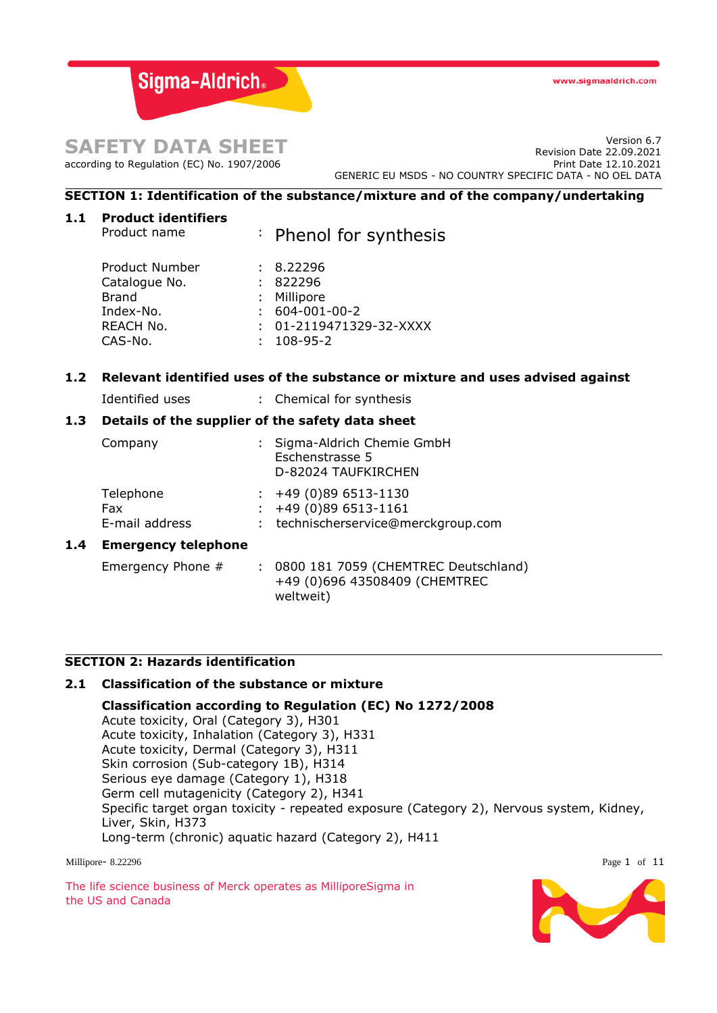www.sigmaaldrich.com

Sigma-Aldrich.

# **SAFETY DATA SHEET**

according to Regulation (EC) No. 1907/2006

Version 6.7 Revision Date 22.09.2021 Print Date 12.10.2021 GENERIC EU MSDS - NO COUNTRY SPECIFIC DATA - NO OEL DATA

# **SECTION 1: Identification of the substance/mixture and of the company/undertaking**

| 1.1 | <b>Product identifiers</b> |                                                                               |
|-----|----------------------------|-------------------------------------------------------------------------------|
|     | Product name               | : Phenol for synthesis                                                        |
|     | Product Number             | 8.22296                                                                       |
|     | Catalogue No.              | 822296                                                                        |
|     | Brand                      | Millipore                                                                     |
|     | Index-No.                  | 604-001-00-2                                                                  |
|     | REACH No.                  | $: 01 - 2119471329 - 32 - XXXX$                                               |
|     | CAS-No.                    | 108-95-2                                                                      |
| 1.2 |                            | Relevant identified uses of the substance or mixture and uses advised against |
|     | Identified uses            | : Chemical for synthesis                                                      |
| 1.3 |                            | Details of the supplier of the safety data sheet                              |

|     | Company                            | : Sigma-Aldrich Chemie GmbH<br>Eschenstrasse 5<br>D-82024 TAUFKIRCHEN                 |
|-----|------------------------------------|---------------------------------------------------------------------------------------|
|     | Telephone<br>Fax<br>E-mail address | $: +49(0)896513-1130$<br>$: +49(0)896513-1161$<br>: technischerservice@merckgroup.com |
| 1.4 | <b>Emergency telephone</b>         |                                                                                       |
|     | Emergency Phone #                  | 0800 181 7059 (CHEMTREC Deutschland)                                                  |

weltweit)

# **SECTION 2: Hazards identification**

# **2.1 Classification of the substance or mixture**

**Classification according to Regulation (EC) No 1272/2008** Acute toxicity, Oral (Category 3), H301 Acute toxicity, Inhalation (Category 3), H331 Acute toxicity, Dermal (Category 3), H311 Skin corrosion (Sub-category 1B), H314 Serious eye damage (Category 1), H318 Germ cell mutagenicity (Category 2), H341 Specific target organ toxicity - repeated exposure (Category 2), Nervous system, Kidney, Liver, Skin, H373 Long-term (chronic) aquatic hazard (Category 2), H411

+49 (0)696 43508409 (CHEMTREC

Millipore- 8.22296 Page 1 of 11

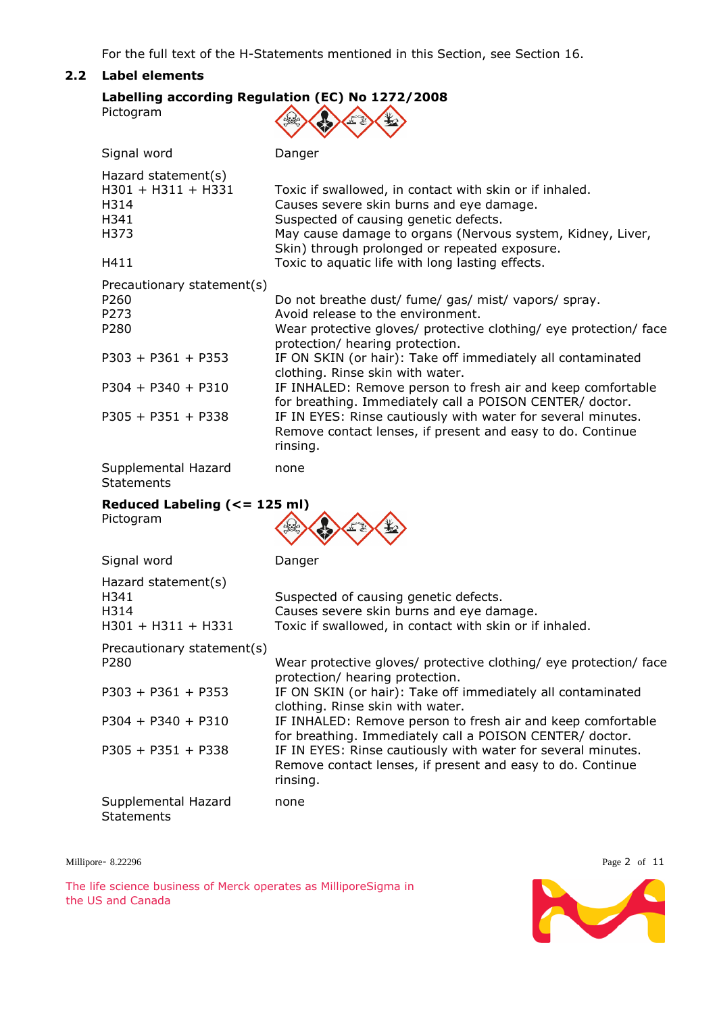For the full text of the H-Statements mentioned in this Section, see Section 16.

### **2.2 Label elements**

| Pictogram                                                         | Labelling according Regulation (EC) No 1272/2008                                                                                                                                                                                                            |
|-------------------------------------------------------------------|-------------------------------------------------------------------------------------------------------------------------------------------------------------------------------------------------------------------------------------------------------------|
| Signal word                                                       | Danger                                                                                                                                                                                                                                                      |
| Hazard statement(s)<br>H301 + H311 + H331<br>H314<br>H341<br>H373 | Toxic if swallowed, in contact with skin or if inhaled.<br>Causes severe skin burns and eye damage.<br>Suspected of causing genetic defects.<br>May cause damage to organs (Nervous system, Kidney, Liver,<br>Skin) through prolonged or repeated exposure. |
| H411                                                              | Toxic to aquatic life with long lasting effects.                                                                                                                                                                                                            |
| Precautionary statement(s)<br>P260<br>P273<br>P280                | Do not breathe dust/ fume/ gas/ mist/ vapors/ spray.<br>Avoid release to the environment.<br>Wear protective gloves/ protective clothing/ eye protection/ face<br>protection/ hearing protection.                                                           |
| $P303 + P361 + P353$                                              | IF ON SKIN (or hair): Take off immediately all contaminated<br>clothing. Rinse skin with water.                                                                                                                                                             |
| $P304 + P340 + P310$                                              | IF INHALED: Remove person to fresh air and keep comfortable<br>for breathing. Immediately call a POISON CENTER/ doctor.                                                                                                                                     |
| $P305 + P351 + P338$                                              | IF IN EYES: Rinse cautiously with water for several minutes.<br>Remove contact lenses, if present and easy to do. Continue<br>rinsing.                                                                                                                      |
| Supplemental Hazard<br><b>Statements</b>                          | none                                                                                                                                                                                                                                                        |
| Reduced Labeling (<= 125 ml)<br>Pictogram                         |                                                                                                                                                                                                                                                             |
| Signal word                                                       | Danger                                                                                                                                                                                                                                                      |
| Hazard statement(s)<br>H341<br>H314<br>H301 + H311 + H331         | Suspected of causing genetic defects.<br>Causes severe skin burns and eye damage.<br>Toxic if swallowed, in contact with skin or if inhaled.                                                                                                                |
| Precautionary statement(s)<br>P280                                | Wear protective gloves/ protective clothing/ eye protection/ face<br>protection/ hearing protection.                                                                                                                                                        |
| $P303 + P361 + P353$                                              | IF ON SKIN (or hair): Take off immediately all contaminated<br>clothing. Rinse skin with water.                                                                                                                                                             |

P304 + P340 + P310 IF INHALED: Remove person to fresh air and keep comfortable

P305 + P351 + P338 IF IN EYES: Rinse cautiously with water for several minutes.

for breathing. Immediately call a POISON CENTER/ doctor.

Remove contact lenses, if present and easy to do. Continue

The life science business of Merck operates as MilliporeSigma in the US and Canada

Supplemental Hazard

**Statements** 

rinsing.

none

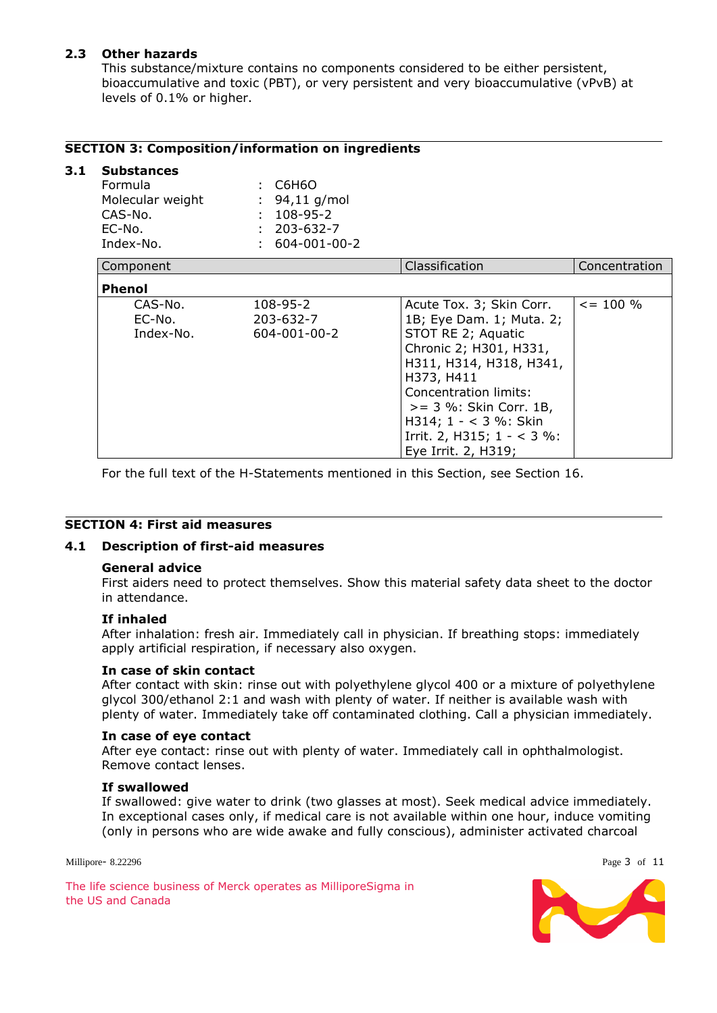# **2.3 Other hazards**

This substance/mixture contains no components considered to be either persistent, bioaccumulative and toxic (PBT), or very persistent and very bioaccumulative (vPvB) at levels of 0.1% or higher.

### **SECTION 3: Composition/information on ingredients**

# **3.1 Substances**

| <b>Formula</b><br>Molecular weight<br>CAS-No.<br>EC-No.<br>Index-No. | C6H6O<br>: $94,11$ g/mol<br>$: 108 - 95 - 2$<br>$: 203 - 632 - 7$<br>$: 604-001-00-2$ |                                                                                                                                                                                                                                                                                      |                |
|----------------------------------------------------------------------|---------------------------------------------------------------------------------------|--------------------------------------------------------------------------------------------------------------------------------------------------------------------------------------------------------------------------------------------------------------------------------------|----------------|
| Component                                                            |                                                                                       | Classification                                                                                                                                                                                                                                                                       | Concentration  |
| <b>Phenol</b>                                                        |                                                                                       |                                                                                                                                                                                                                                                                                      |                |
| CAS-No.<br>EC-No.<br>Index-No.                                       | 108-95-2<br>203-632-7<br>604-001-00-2                                                 | Acute Tox. 3; Skin Corr.<br>1B; Eye Dam. 1; Muta. 2;<br>STOT RE 2; Aquatic<br>Chronic 2; H301, H331,<br>H311, H314, H318, H341,<br>H373, H411<br>Concentration limits:<br>$>= 3$ %: Skin Corr. 1B,<br>H314; $1 - < 3$ %: Skin<br>Irrit. 2, H315; $1 - < 3$ %:<br>Eye Irrit. 2, H319; | $\leq$ = 100 % |

For the full text of the H-Statements mentioned in this Section, see Section 16.

#### **SECTION 4: First aid measures**

### **4.1 Description of first-aid measures**

#### **General advice**

First aiders need to protect themselves. Show this material safety data sheet to the doctor in attendance.

#### **If inhaled**

After inhalation: fresh air. Immediately call in physician. If breathing stops: immediately apply artificial respiration, if necessary also oxygen.

#### **In case of skin contact**

After contact with skin: rinse out with polyethylene glycol 400 or a mixture of polyethylene glycol 300/ethanol 2:1 and wash with plenty of water. If neither is available wash with plenty of water. Immediately take off contaminated clothing. Call a physician immediately.

#### **In case of eye contact**

After eye contact: rinse out with plenty of water. Immediately call in ophthalmologist. Remove contact lenses.

#### **If swallowed**

If swallowed: give water to drink (two glasses at most). Seek medical advice immediately. In exceptional cases only, if medical care is not available within one hour, induce vomiting (only in persons who are wide awake and fully conscious), administer activated charcoal

Millipore- 8.22296 Page 3 of 11

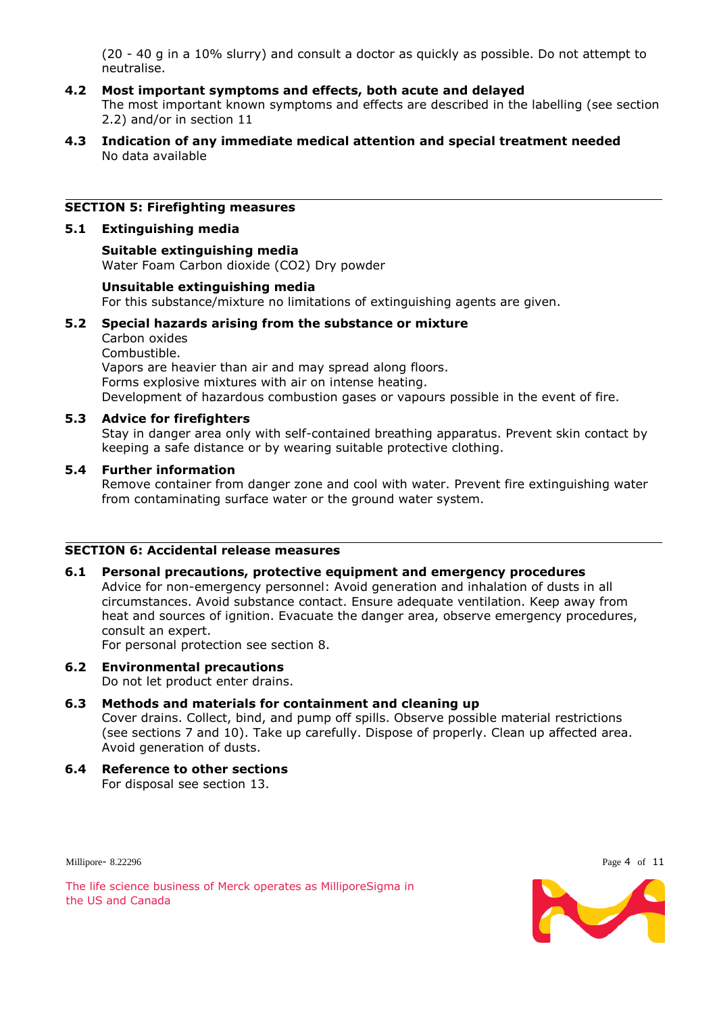(20 - 40 g in a 10% slurry) and consult a doctor as quickly as possible. Do not attempt to neutralise.

#### **4.2 Most important symptoms and effects, both acute and delayed**

The most important known symptoms and effects are described in the labelling (see section 2.2) and/or in section 11

**4.3 Indication of any immediate medical attention and special treatment needed** No data available

#### **SECTION 5: Firefighting measures**

#### **5.1 Extinguishing media**

#### **Suitable extinguishing media** Water Foam Carbon dioxide (CO2) Dry powder

#### **Unsuitable extinguishing media**

For this substance/mixture no limitations of extinguishing agents are given.

#### **5.2 Special hazards arising from the substance or mixture**

Carbon oxides Combustible. Vapors are heavier than air and may spread along floors. Forms explosive mixtures with air on intense heating. Development of hazardous combustion gases or vapours possible in the event of fire.

#### **5.3 Advice for firefighters**

Stay in danger area only with self-contained breathing apparatus. Prevent skin contact by keeping a safe distance or by wearing suitable protective clothing.

#### **5.4 Further information**

Remove container from danger zone and cool with water. Prevent fire extinguishing water from contaminating surface water or the ground water system.

# **SECTION 6: Accidental release measures**

#### **6.1 Personal precautions, protective equipment and emergency procedures**

Advice for non-emergency personnel: Avoid generation and inhalation of dusts in all circumstances. Avoid substance contact. Ensure adequate ventilation. Keep away from heat and sources of ignition. Evacuate the danger area, observe emergency procedures, consult an expert.

For personal protection see section 8.

# **6.2 Environmental precautions**

Do not let product enter drains.

# **6.3 Methods and materials for containment and cleaning up**

Cover drains. Collect, bind, and pump off spills. Observe possible material restrictions (see sections 7 and 10). Take up carefully. Dispose of properly. Clean up affected area. Avoid generation of dusts.

#### **6.4 Reference to other sections** For disposal see section 13.

Millipore- 8.22296 Page 4 of 11



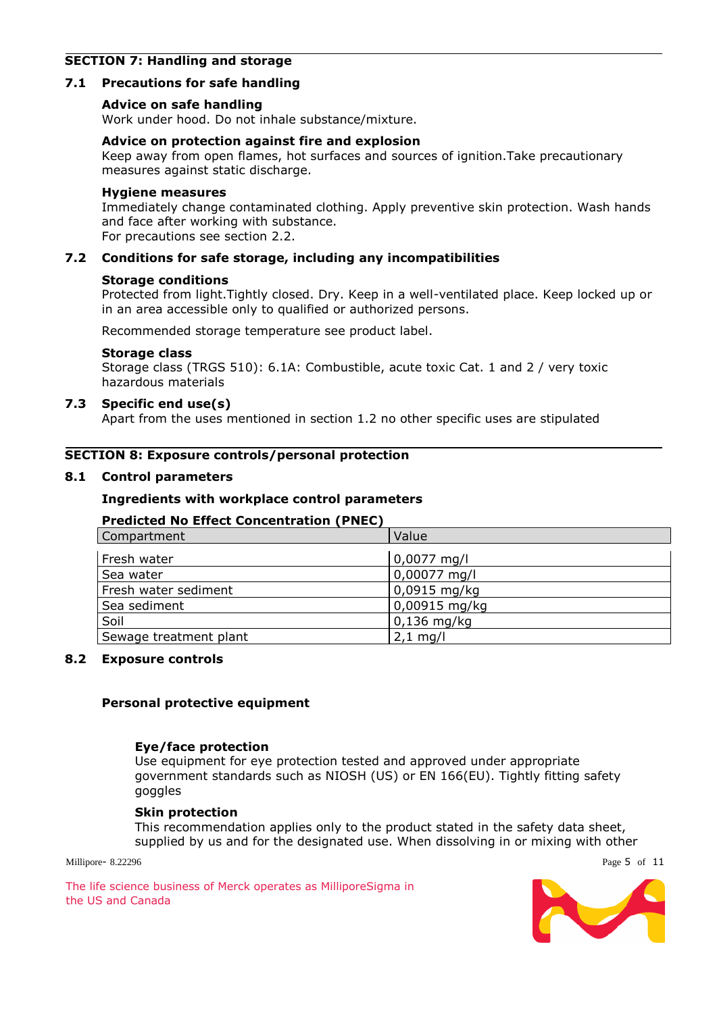# **SECTION 7: Handling and storage**

#### **7.1 Precautions for safe handling**

#### **Advice on safe handling**

Work under hood. Do not inhale substance/mixture.

#### **Advice on protection against fire and explosion**

Keep away from open flames, hot surfaces and sources of ignition.Take precautionary measures against static discharge.

#### **Hygiene measures**

Immediately change contaminated clothing. Apply preventive skin protection. Wash hands and face after working with substance. For precautions see section 2.2.

#### **7.2 Conditions for safe storage, including any incompatibilities**

#### **Storage conditions**

Protected from light.Tightly closed. Dry. Keep in a well-ventilated place. Keep locked up or in an area accessible only to qualified or authorized persons.

Recommended storage temperature see product label.

#### **Storage class**

Storage class (TRGS 510): 6.1A: Combustible, acute toxic Cat. 1 and 2 / very toxic hazardous materials

#### **7.3 Specific end use(s)**

Apart from the uses mentioned in section 1.2 no other specific uses are stipulated

#### **SECTION 8: Exposure controls/personal protection**

#### **8.1 Control parameters**

#### **Ingredients with workplace control parameters**

#### **Predicted No Effect Concentration (PNEC)**

| Compartment            | Value          |
|------------------------|----------------|
| Fresh water            | $0,0077$ mg/l  |
| Sea water              | 0,00077 mg/l   |
| Fresh water sediment   | $0,0915$ mg/kg |
| Sea sediment           | 0,00915 mg/kg  |
| Soil                   | $0,136$ mg/kg  |
| Sewage treatment plant | $2,1$ mg/l     |

#### **8.2 Exposure controls**

#### **Personal protective equipment**

#### **Eye/face protection**

Use equipment for eye protection tested and approved under appropriate government standards such as NIOSH (US) or EN 166(EU). Tightly fitting safety goggles

#### **Skin protection**

This recommendation applies only to the product stated in the safety data sheet, supplied by us and for the designated use. When dissolving in or mixing with other

Millipore- 8.22296 Page 5 of 11

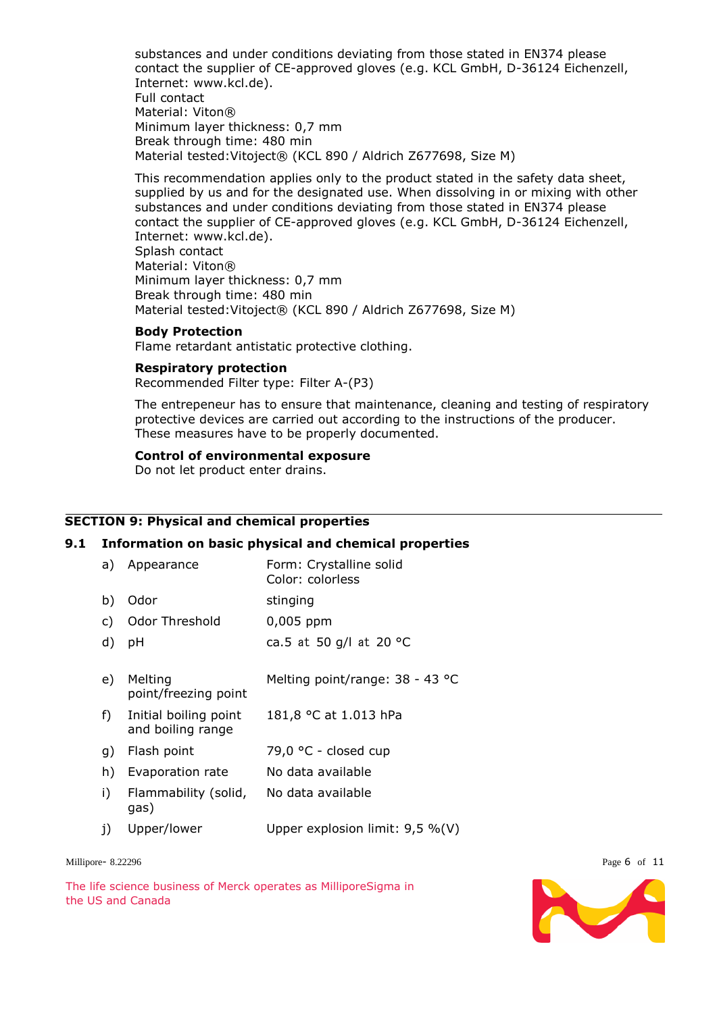substances and under conditions deviating from those stated in EN374 please contact the supplier of CE-approved gloves (e.g. KCL GmbH, D-36124 Eichenzell, Internet: www.kcl.de). Full contact Material: Viton® Minimum layer thickness: 0,7 mm Break through time: 480 min Material tested:Vitoject® (KCL 890 / Aldrich Z677698, Size M)

This recommendation applies only to the product stated in the safety data sheet, supplied by us and for the designated use. When dissolving in or mixing with other substances and under conditions deviating from those stated in EN374 please contact the supplier of CE-approved gloves (e.g. KCL GmbH, D-36124 Eichenzell, Internet: www.kcl.de). Splash contact Material: Viton® Minimum layer thickness: 0,7 mm

Break through time: 480 min Material tested:Vitoject® (KCL 890 / Aldrich Z677698, Size M)

#### **Body Protection**

Flame retardant antistatic protective clothing.

#### **Respiratory protection**

Recommended Filter type: Filter A-(P3)

The entrepeneur has to ensure that maintenance, cleaning and testing of respiratory protective devices are carried out according to the instructions of the producer. These measures have to be properly documented.

#### **Control of environmental exposure**

Do not let product enter drains.

#### **SECTION 9: Physical and chemical properties**

#### **9.1 Information on basic physical and chemical properties**

| a)           | Appearance                                 | Form: Crystalline solid<br>Color: colorless |
|--------------|--------------------------------------------|---------------------------------------------|
| b)           | Odor                                       | stinging                                    |
| $\mathsf{C}$ | Odor Threshold                             | 0,005 ppm                                   |
| d)           | рH                                         | ca.5 at 50 g/l at 20 °C                     |
| e)           | Melting<br>point/freezing point            | Melting point/range: 38 - 43 °C             |
| $f$ )        | Initial boiling point<br>and boiling range | 181,8 °C at 1.013 hPa                       |
| g)           | Flash point                                | 79,0 °C - closed cup                        |
| h)           | Evaporation rate                           | No data available                           |
| i)           | Flammability (solid,<br>gas)               | No data available                           |
| j)           | Upper/lower                                | Upper explosion limit: $9.5 \%$ (V)         |

Millipore- 8.22296 Page 6 of 11

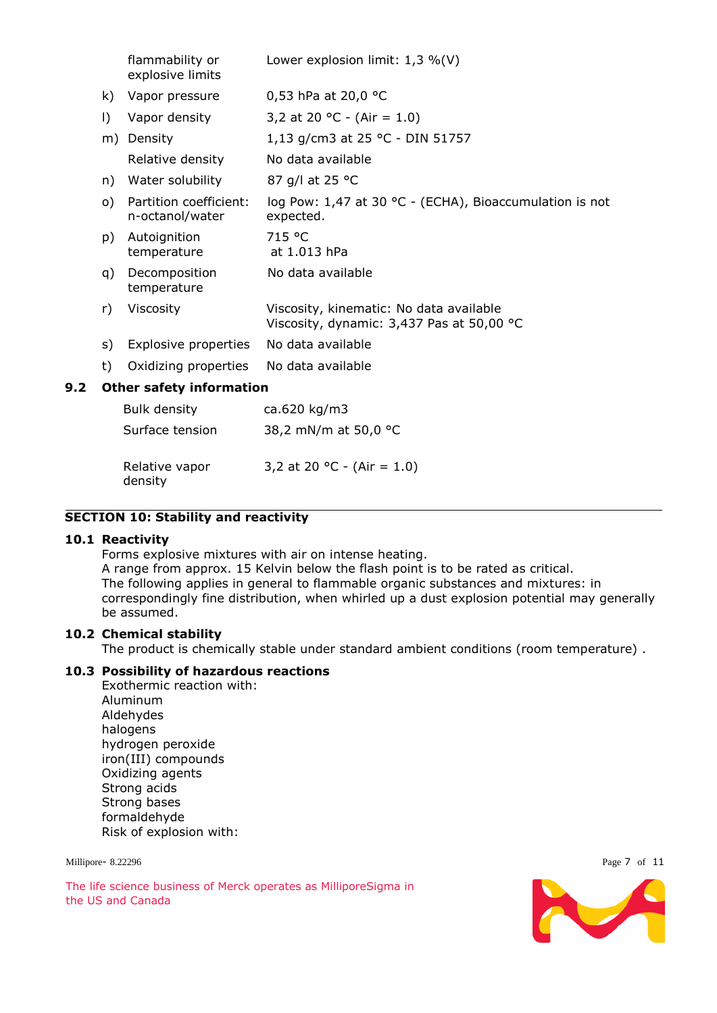|                                 | flammability or<br>explosive limits       | Lower explosion limit: $1,3\%$ (V)                                                   |
|---------------------------------|-------------------------------------------|--------------------------------------------------------------------------------------|
| k)                              | Vapor pressure                            | 0,53 hPa at 20,0 °C                                                                  |
| $\vert$                         | Vapor density                             | 3,2 at 20 °C - (Air = 1.0)                                                           |
| m)                              | Density                                   | 1,13 g/cm3 at 25 °C - DIN 51757                                                      |
|                                 | Relative density                          | No data available                                                                    |
| n)                              | Water solubility                          | 87 g/l at 25 °C                                                                      |
| $\circ$ )                       | Partition coefficient:<br>n-octanol/water | log Pow: 1,47 at 30 °C - (ECHA), Bioaccumulation is not<br>expected.                 |
| p)                              | Autoignition<br>temperature               | 715 °C<br>at 1.013 hPa                                                               |
| q)                              | Decomposition<br>temperature              | No data available                                                                    |
| r)                              | Viscosity                                 | Viscosity, kinematic: No data available<br>Viscosity, dynamic: 3,437 Pas at 50,00 °C |
| s)                              | Explosive properties                      | No data available                                                                    |
| t)                              | Oxidizing properties                      | No data available                                                                    |
| <b>Other safety information</b> |                                           |                                                                                      |
|                                 | Bulk density                              | ca.620 kg/m3                                                                         |

| <b>DUIN UCHOILY</b> | $0.020$ $0.901$      |
|---------------------|----------------------|
| Surface tension     | 38,2 mN/m at 50,0 °C |
|                     |                      |

| Relative vapor | 3,2 at 20 °C - (Air = 1.0) |
|----------------|----------------------------|
| density        |                            |

# **SECTION 10: Stability and reactivity**

#### **10.1 Reactivity**

**9.2 Other safety information**

Forms explosive mixtures with air on intense heating.

A range from approx. 15 Kelvin below the flash point is to be rated as critical. The following applies in general to flammable organic substances and mixtures: in correspondingly fine distribution, when whirled up a dust explosion potential may generally be assumed.

#### **10.2 Chemical stability**

The product is chemically stable under standard ambient conditions (room temperature) .

#### **10.3 Possibility of hazardous reactions**

Exothermic reaction with: Aluminum Aldehydes halogens hydrogen peroxide iron(III) compounds Oxidizing agents Strong acids Strong bases formaldehyde Risk of explosion with:

Millipore-8.22296 Page 7 of 11

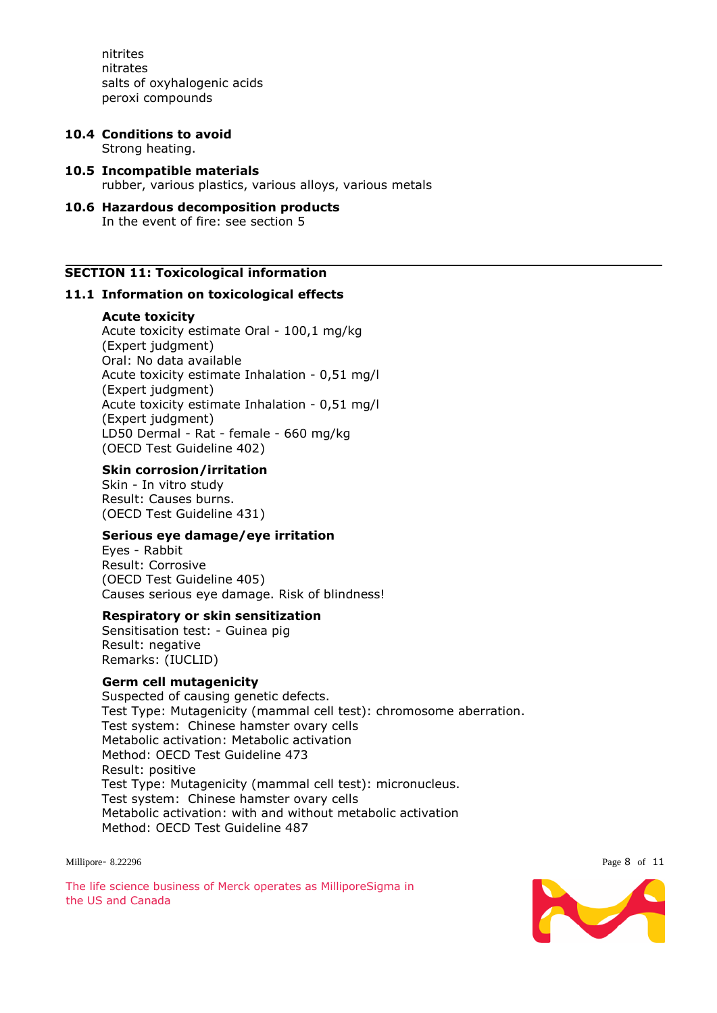nitrites nitrates salts of oxyhalogenic acids peroxi compounds

# **10.4 Conditions to avoid**

Strong heating.

- **10.5 Incompatible materials** rubber, various plastics, various alloys, various metals
- **10.6 Hazardous decomposition products** In the event of fire: see section 5

#### **SECTION 11: Toxicological information**

#### **11.1 Information on toxicological effects**

#### **Acute toxicity**

Acute toxicity estimate Oral - 100,1 mg/kg (Expert judgment) Oral: No data available Acute toxicity estimate Inhalation - 0,51 mg/l (Expert judgment) Acute toxicity estimate Inhalation - 0,51 mg/l (Expert judgment) LD50 Dermal - Rat - female - 660 mg/kg (OECD Test Guideline 402)

#### **Skin corrosion/irritation**

Skin - In vitro study Result: Causes burns. (OECD Test Guideline 431)

#### **Serious eye damage/eye irritation**

Eyes - Rabbit Result: Corrosive (OECD Test Guideline 405) Causes serious eye damage. Risk of blindness!

#### **Respiratory or skin sensitization**

Sensitisation test: - Guinea pig Result: negative Remarks: (IUCLID)

#### **Germ cell mutagenicity**

Suspected of causing genetic defects. Test Type: Mutagenicity (mammal cell test): chromosome aberration. Test system: Chinese hamster ovary cells Metabolic activation: Metabolic activation Method: OECD Test Guideline 473 Result: positive Test Type: Mutagenicity (mammal cell test): micronucleus. Test system: Chinese hamster ovary cells Metabolic activation: with and without metabolic activation Method: OECD Test Guideline 487

Millipore- 8.22296 Page 8 of 11

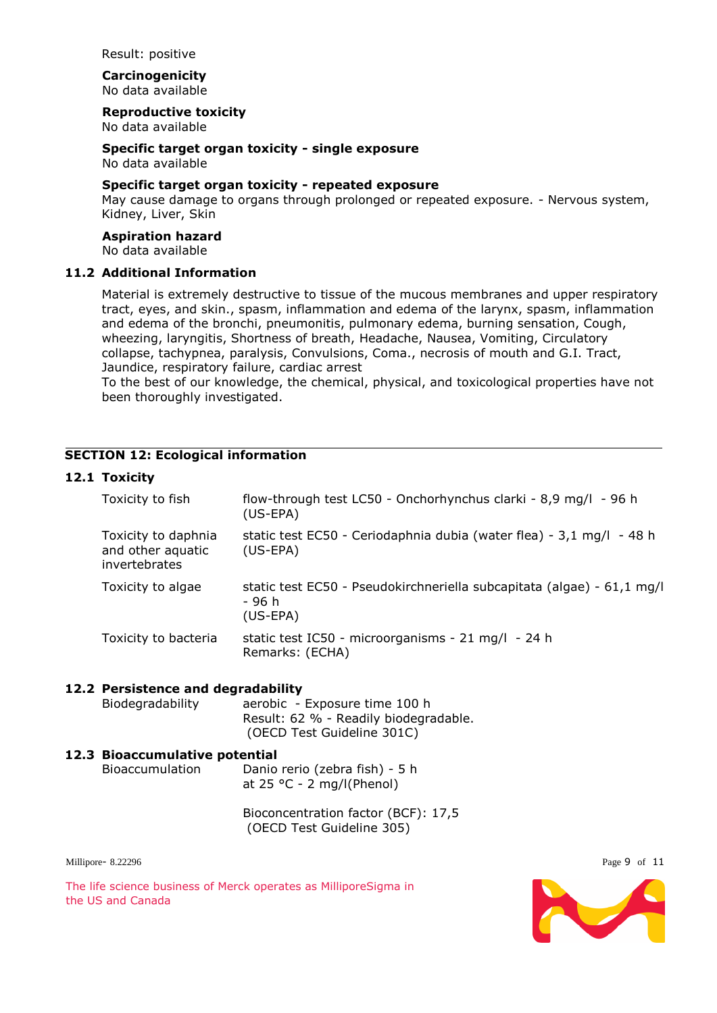Result: positive

**Carcinogenicity** No data available

**Reproductive toxicity**

No data available

**Specific target organ toxicity - single exposure** No data available

#### **Specific target organ toxicity - repeated exposure**

May cause damage to organs through prolonged or repeated exposure. - Nervous system, Kidney, Liver, Skin

#### **Aspiration hazard**

No data available

#### **11.2 Additional Information**

Material is extremely destructive to tissue of the mucous membranes and upper respiratory tract, eyes, and skin., spasm, inflammation and edema of the larynx, spasm, inflammation and edema of the bronchi, pneumonitis, pulmonary edema, burning sensation, Cough, wheezing, laryngitis, Shortness of breath, Headache, Nausea, Vomiting, Circulatory collapse, tachypnea, paralysis, Convulsions, Coma., necrosis of mouth and G.I. Tract, Jaundice, respiratory failure, cardiac arrest

To the best of our knowledge, the chemical, physical, and toxicological properties have not been thoroughly investigated.

#### **SECTION 12: Ecological information**

#### **12.1 Toxicity**

| Toxicity to fish                                          | flow-through test LC50 - Onchorhynchus clarki - 8,9 mg/l - 96 h<br>$(US-EPA)$                  |
|-----------------------------------------------------------|------------------------------------------------------------------------------------------------|
| Toxicity to daphnia<br>and other aquatic<br>invertebrates | static test EC50 - Ceriodaphnia dubia (water flea) - 3,1 mg/l - 48 h<br>$(US-EPA)$             |
| Toxicity to algae                                         | static test EC50 - Pseudokirchneriella subcapitata (algae) - 61,1 mg/l<br>- 96 հ<br>$(US-EPA)$ |
| Toxicity to bacteria                                      | static test IC50 - microorganisms - 21 mg/l - 24 h<br>Remarks: (ECHA)                          |

#### **12.2 Persistence and degradability**

Biodegradability aerobic - Exposure time 100 h Result: 62 % - Readily biodegradable. (OECD Test Guideline 301C)

# **12.3 Bioaccumulative potential**

Bioaccumulation Danio rerio (zebra fish) - 5 h at 25 °C - 2 mg/l(Phenol)

> Bioconcentration factor (BCF): 17,5 (OECD Test Guideline 305)

Millipore-8.22296 Page 9 of 11

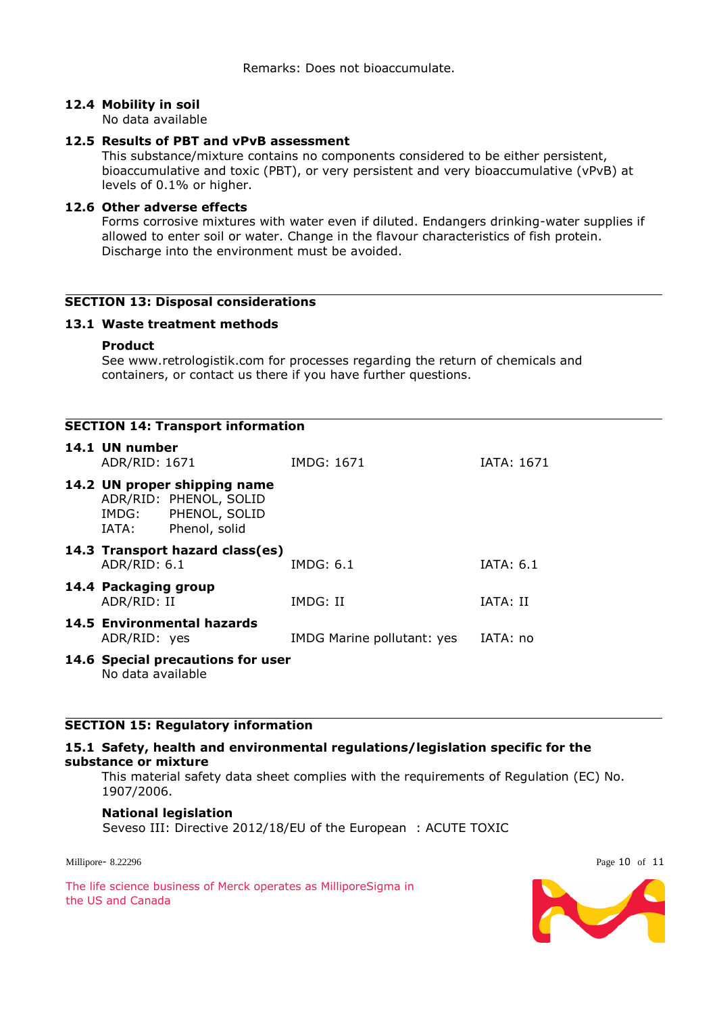#### **12.4 Mobility in soil**

No data available

# **12.5 Results of PBT and vPvB assessment**

This substance/mixture contains no components considered to be either persistent, bioaccumulative and toxic (PBT), or very persistent and very bioaccumulative (vPvB) at levels of 0.1% or higher.

#### **12.6 Other adverse effects**

Forms corrosive mixtures with water even if diluted. Endangers drinking-water supplies if allowed to enter soil or water. Change in the flavour characteristics of fish protein. Discharge into the environment must be avoided.

#### **SECTION 13: Disposal considerations**

#### **13.1 Waste treatment methods**

#### **Product**

See www.retrologistik.com for processes regarding the return of chemicals and containers, or contact us there if you have further questions.

|                                     | <b>SECTION 14: Transport information</b>                                                       |                            |                   |
|-------------------------------------|------------------------------------------------------------------------------------------------|----------------------------|-------------------|
| 14.1 UN number<br>ADR/RID: 1671     |                                                                                                | IMDG: 1671                 | <b>IATA: 1671</b> |
| IATA:                               | 14.2 UN proper shipping name<br>ADR/RID: PHENOL, SOLID<br>IMDG: PHENOL, SOLID<br>Phenol, solid |                            |                   |
| ADR/RID: 6.1                        | 14.3 Transport hazard class(es)                                                                | IMDG: 6.1                  | IATA: 6.1         |
| 14.4 Packaging group<br>ADR/RID: II |                                                                                                | IMDG: II                   | IATA: II          |
| ADR/RID: yes                        | 14.5 Environmental hazards                                                                     | IMDG Marine pollutant: yes | IATA: no          |
| No data available                   | 14.6 Special precautions for user                                                              |                            |                   |

# **SECTION 15: Regulatory information**

#### **15.1 Safety, health and environmental regulations/legislation specific for the substance or mixture**

This material safety data sheet complies with the requirements of Regulation (EC) No. 1907/2006.

#### **National legislation**

Seveso III: Directive 2012/18/EU of the European : ACUTE TOXIC

Millipore- 8.22296 Page 10 of 11